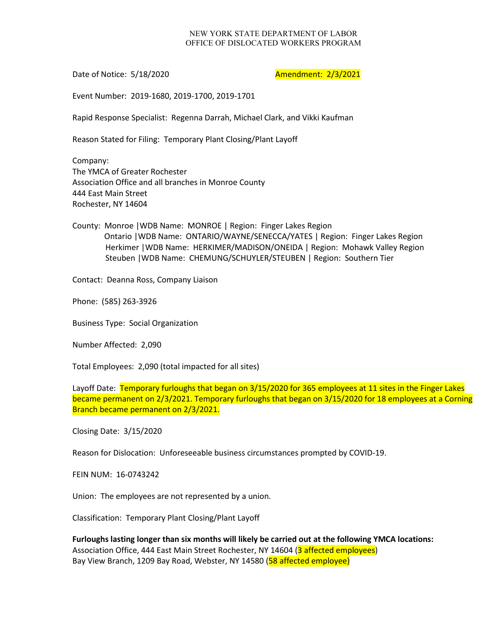## NEW YORK STATE DEPARTMENT OF LABOR OFFICE OF DISLOCATED WORKERS PROGRAM

Date of Notice: 5/18/2020 **Amendment: 2/3/2021** 

Event Number: 2019-1680, 2019-1700, 2019-1701

Rapid Response Specialist: Regenna Darrah, Michael Clark, and Vikki Kaufman

Reason Stated for Filing: Temporary Plant Closing/Plant Layoff

Company: The YMCA of Greater Rochester Association Office and all branches in Monroe County 444 East Main Street Rochester, NY 14604

County: Monroe |WDB Name: MONROE | Region: Finger Lakes Region Ontario |WDB Name: ONTARIO/WAYNE/SENECCA/YATES | Region: Finger Lakes Region Herkimer |WDB Name: HERKIMER/MADISON/ONEIDA | Region: Mohawk Valley Region Steuben |WDB Name: CHEMUNG/SCHUYLER/STEUBEN | Region: Southern Tier

Contact: Deanna Ross, Company Liaison

Phone: (585) 263-3926

Business Type: Social Organization

Number Affected: 2,090

Total Employees: 2,090 (total impacted for all sites)

Layoff Date: Temporary furloughs that began on 3/15/2020 for 365 employees at 11 sites in the Finger Lakes became permanent on 2/3/2021. Temporary furloughs that began on 3/15/2020 for 18 employees at a Corning Branch became permanent on 2/3/2021.

Closing Date: 3/15/2020

Reason for Dislocation: Unforeseeable business circumstances prompted by COVID-19.

FEIN NUM: 16-0743242

Union: The employees are not represented by a union.

Classification: Temporary Plant Closing/Plant Layoff

**Furloughs lasting longer than six months will likely be carried out at the following YMCA locations:** Association Office, 444 East Main Street Rochester, NY 14604 (3 affected employees) Bay View Branch, 1209 Bay Road, Webster, NY 14580 (58 affected employee)